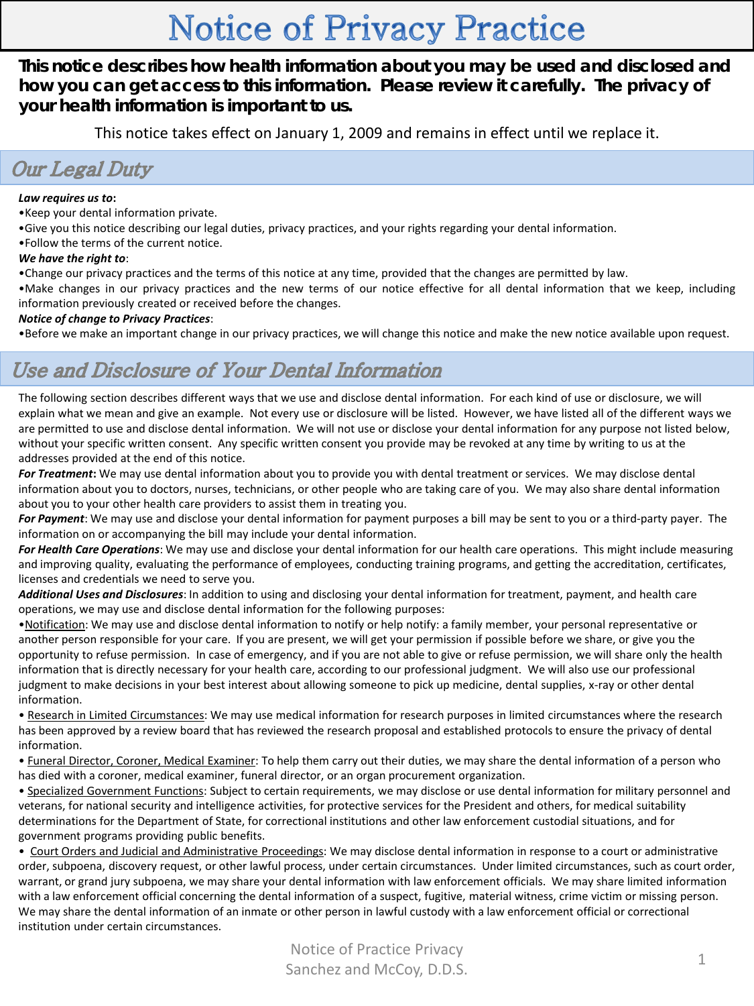# **Notice of Privacy Practice**

**This notice describes how health information about you may be used and disclosed and how you can get access to this information. Please review it carefully. The privacy of your health information is important to us.**

This notice takes effect on January 1, 2009 and remains in effect until we replace it.

## **Our Legal Duty**

### *Law requires us to***:**

- •Keep your dental information private.
- •Give you this notice describing our legal duties, privacy practices, and your rights regarding your dental information.
- •Follow the terms of the current notice.

#### *We have the right to*:

•Change our privacy practices and the terms of this notice at any time, provided that the changes are permitted by law.

•Make changes in our privacy practices and the new terms of our notice effective for all dental information that we keep, including information previously created or received before the changes.

### *Notice of change to Privacy Practices*:

•Before we make an important change in our privacy practices, we will change this notice and make the new notice available upon request.

## Use and Disclosure of Your Dental Information

The following section describes different ways that we use and disclose dental information. For each kind of use or disclosure, we will explain what we mean and give an example. Not every use or disclosure will be listed. However, we have listed all of the different ways we are permitted to use and disclose dental information. We will not use or disclose your dental information for any purpose not listed below, without your specific written consent. Any specific written consent you provide may be revoked at any time by writing to us at the addresses provided at the end of this notice.

*For Treatment***:** We may use dental information about you to provide you with dental treatment or services. We may disclose dental information about you to doctors, nurses, technicians, or other people who are taking care of you. We may also share dental information about you to your other health care providers to assist them in treating you.

*For Payment*: We may use and disclose your dental information for payment purposes a bill may be sent to you or a third-party payer. The information on or accompanying the bill may include your dental information.

*For Health Care Operations*: We may use and disclose your dental information for our health care operations. This might include measuring and improving quality, evaluating the performance of employees, conducting training programs, and getting the accreditation, certificates, licenses and credentials we need to serve you.

*Additional Uses and Disclosures*: In addition to using and disclosing your dental information for treatment, payment, and health care operations, we may use and disclose dental information for the following purposes:

•Notification: We may use and disclose dental information to notify or help notify: a family member, your personal representative or another person responsible for your care. If you are present, we will get your permission if possible before we share, or give you the opportunity to refuse permission. In case of emergency, and if you are not able to give or refuse permission, we will share only the health information that is directly necessary for your health care, according to our professional judgment. We will also use our professional judgment to make decisions in your best interest about allowing someone to pick up medicine, dental supplies, x-ray or other dental information.

• Research in Limited Circumstances: We may use medical information for research purposes in limited circumstances where the research has been approved by a review board that has reviewed the research proposal and established protocols to ensure the privacy of dental information.

• Funeral Director, Coroner, Medical Examiner: To help them carry out their duties, we may share the dental information of a person who has died with a coroner, medical examiner, funeral director, or an organ procurement organization.

• Specialized Government Functions: Subject to certain requirements, we may disclose or use dental information for military personnel and veterans, for national security and intelligence activities, for protective services for the President and others, for medical suitability determinations for the Department of State, for correctional institutions and other law enforcement custodial situations, and for government programs providing public benefits.

• Court Orders and Judicial and Administrative Proceedings: We may disclose dental information in response to a court or administrative order, subpoena, discovery request, or other lawful process, under certain circumstances. Under limited circumstances, such as court order, warrant, or grand jury subpoena, we may share your dental information with law enforcement officials. We may share limited information with a law enforcement official concerning the dental information of a suspect, fugitive, material witness, crime victim or missing person. We may share the dental information of an inmate or other person in lawful custody with a law enforcement official or correctional institution under certain circumstances.